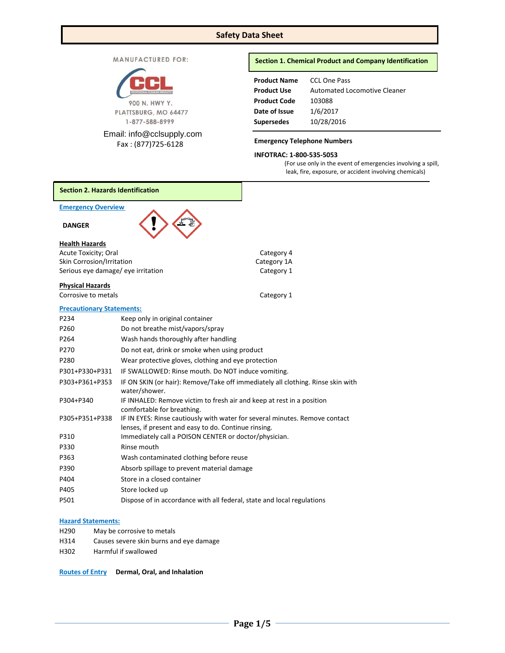# **Safety Data Sheet**

MANUFACTURED FOR:



Email: [info@cclsupply.com](mailto:info@cclsupply.com) Fax : (877)725-6128

## **Section 1. Chemical Product and Company Identification**

| <b>Product Name</b> | <b>CCL One Pass</b>          |
|---------------------|------------------------------|
| <b>Product Use</b>  | Automated Locomotive Cleaner |
| <b>Product Code</b> | 103088                       |
| Date of Issue       | 1/6/2017                     |
| <b>Supersedes</b>   | 10/28/2016                   |

## **Emergency Telephone Numbers**

# **INFOTRAC: 1-800-535-5053**

(For use only in the event of emergencies involving a spill, leak, fire, exposure, or accident involving chemicals)

| <b>Section 2. Hazards Identification</b>                        |                                                                                                                                     |                           |
|-----------------------------------------------------------------|-------------------------------------------------------------------------------------------------------------------------------------|---------------------------|
| <b>Emergency Overview</b>                                       |                                                                                                                                     |                           |
| <b>DANGER</b>                                                   |                                                                                                                                     |                           |
| <b>Health Hazards</b>                                           |                                                                                                                                     |                           |
| Acute Toxicity; Oral                                            |                                                                                                                                     | Category 4                |
| Skin Corrosion/Irritation<br>Serious eye damage/ eye irritation |                                                                                                                                     | Category 1A<br>Category 1 |
|                                                                 |                                                                                                                                     |                           |
| <b>Physical Hazards</b>                                         |                                                                                                                                     |                           |
| Corrosive to metals                                             |                                                                                                                                     | Category 1                |
| <b>Precautionary Statements:</b>                                |                                                                                                                                     |                           |
| P234                                                            | Keep only in original container                                                                                                     |                           |
| P260                                                            | Do not breathe mist/vapors/spray                                                                                                    |                           |
| P264                                                            | Wash hands thoroughly after handling                                                                                                |                           |
| P270                                                            | Do not eat, drink or smoke when using product                                                                                       |                           |
| P280                                                            | Wear protective gloves, clothing and eye protection                                                                                 |                           |
| P301+P330+P331                                                  | IF SWALLOWED: Rinse mouth. Do NOT induce vomiting.                                                                                  |                           |
| P303+P361+P353                                                  | IF ON SKIN (or hair): Remove/Take off immediately all clothing. Rinse skin with<br>water/shower.                                    |                           |
| P304+P340                                                       | IF INHALED: Remove victim to fresh air and keep at rest in a position<br>comfortable for breathing.                                 |                           |
| P305+P351+P338                                                  | IF IN EYES: Rinse cautiously with water for several minutes. Remove contact<br>lenses, if present and easy to do. Continue rinsing. |                           |
| P310                                                            | Immediately call a POISON CENTER or doctor/physician.                                                                               |                           |
| P330                                                            | Rinse mouth                                                                                                                         |                           |
| P363                                                            | Wash contaminated clothing before reuse                                                                                             |                           |
| P390                                                            | Absorb spillage to prevent material damage                                                                                          |                           |
| P404                                                            | Store in a closed container                                                                                                         |                           |
| P405                                                            | Store locked up                                                                                                                     |                           |
| P501                                                            | Dispose of in accordance with all federal, state and local regulations                                                              |                           |
|                                                                 |                                                                                                                                     |                           |

## **Hazard Statements:**

- H290 May be corrosive to metals
- H314 Causes severe skin burns and eye damage
- H302 Harmful if swallowed

**Routes of Entry Dermal, Oral, and Inhalation**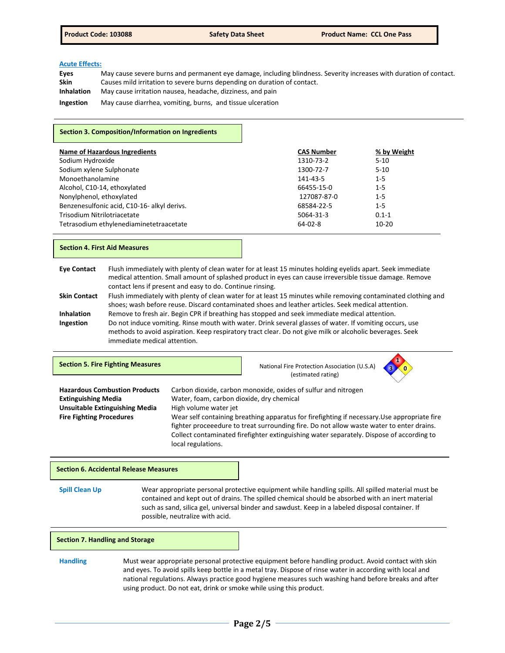## **Acute Effects:**

| Eyes              | May cause severe burns and permanent eye damage, including blindness. Severity increases with duration of contact. |
|-------------------|--------------------------------------------------------------------------------------------------------------------|
| <b>Skin</b>       | Causes mild irritation to severe burns depending on duration of contact.                                           |
| <b>Inhalation</b> | May cause irritation nausea, headache, dizziness, and pain                                                         |
| Ingestion         | May cause diarrhea, vomiting, burns, and tissue ulceration                                                         |

### **Section 3. Composition/Information on Ingredients**

| <b>Name of Hazardous Ingredients</b>        | <b>CAS Number</b> | % by Weight |
|---------------------------------------------|-------------------|-------------|
| Sodium Hydroxide                            | 1310-73-2         | $5 - 10$    |
| Sodium xylene Sulphonate                    | 1300-72-7         | $5-10$      |
| Monoethanolamine                            | 141-43-5          | $1 - 5$     |
| Alcohol, C10-14, ethoxylated                | 66455-15-0        | $1 - 5$     |
| Nonylphenol, ethoxylated                    | 127087-87-0       | $1 - 5$     |
| Benzenesulfonic acid, C10-16- alkyl derivs. | 68584-22-5        | $1 - 5$     |
| Trisodium Nitrilotriacetate                 | 5064-31-3         | $0.1 - 1$   |
| Tetrasodium ethylenediaminetetraacetate     | $64 - 02 - 8$     | $10 - 20$   |

### **Section 4. First Aid Measures**

| <b>Eye Contact</b>  | Flush immediately with plenty of clean water for at least 15 minutes holding evelids apart. Seek immediate    |
|---------------------|---------------------------------------------------------------------------------------------------------------|
|                     | medical attention. Small amount of splashed product in eyes can cause irreversible tissue damage. Remove      |
|                     | contact lens if present and easy to do. Continue rinsing.                                                     |
| <b>Skin Contact</b> | Flush immediately with plenty of clean water for at least 15 minutes while removing contaminated clothing and |
|                     | shoes; wash before reuse. Discard contaminated shoes and leather articles. Seek medical attention.            |

**Inhalation** Remove to fresh air. Begin CPR if breathing has stopped and seek immediate medical attention.<br>Ingestion Do not induce vomiting. Rinse mouth with water. Drink several glasses of water. If vomiting occu **Ingestion** Do not induce vomiting. Rinse mouth with water. Drink several glasses of water. If vomiting occurs, use methods to avoid aspiration. Keep respiratory tract clear. Do not give milk or alcoholic beverages. Seek immediate medical attention.

| <b>Section 5. Fire Fighting Measures</b>                                                                                                       |                                                                                          | $\blacksquare$<br>National Fire Protection Association (U.S.A)<br>(estimated rating)                                                                                                                                                                                                                                                                   |  |
|------------------------------------------------------------------------------------------------------------------------------------------------|------------------------------------------------------------------------------------------|--------------------------------------------------------------------------------------------------------------------------------------------------------------------------------------------------------------------------------------------------------------------------------------------------------------------------------------------------------|--|
| <b>Hazardous Combustion Products</b><br><b>Extinguishing Media</b><br><b>Unsuitable Extinguishing Media</b><br><b>Fire Fighting Procedures</b> | Water, foam, carbon dioxide, dry chemical<br>High volume water jet<br>local regulations. | Carbon dioxide, carbon monoxide, oxides of sulfur and nitrogen<br>Wear self containing breathing apparatus for firefighting if necessary. Use appropriate fire<br>fighter proceeedure to treat surrounding fire. Do not allow waste water to enter drains.<br>Collect contaminated firefighter extinguishing water separately. Dispose of according to |  |

#### **Section 6. Accidental Release Measures**

**Spill Clean Up** Wear appropriate personal protective equipment while handling spills. All spilled material must be contained and kept out of drains. The spilled chemical should be absorbed with an inert material such as sand, silica gel, universal binder and sawdust. Keep in a labeled disposal container. If possible, neutralize with acid.

### **Section 7. Handling and Storage**

## **Handling** Must wear appropriate personal protective equipment before handling product. Avoid contact with skin and eyes. To avoid spills keep bottle in a metal tray. Dispose of rinse water in according with local and national regulations. Always practice good hygiene measures such washing hand before breaks and after using product. Do not eat, drink or smoke while using this product.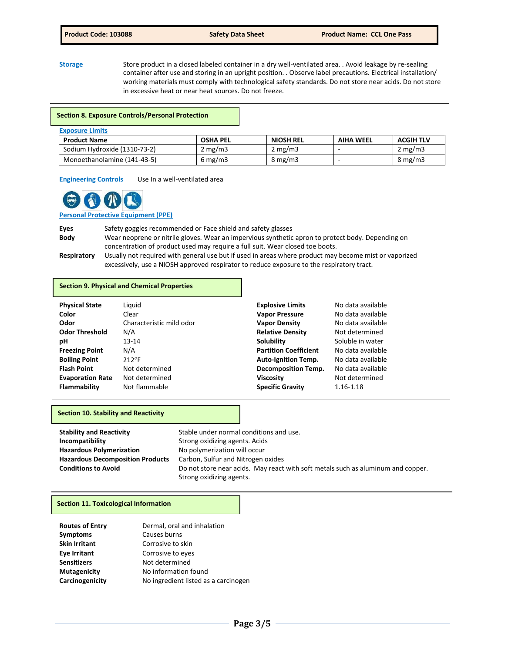**Storage** Store product in a closed labeled container in a dry well-ventilated area. . Avoid leakage by re-sealing container after use and storing in an upright position. . Observe label precautions. Electrical installation/ working materials must comply with technological safety standards. Do not store near acids. Do not store in excessive heat or near heat sources. Do not freeze.

### **Section 8. Exposure Controls/Personal Protection**

| <b>Exposure Limits</b>       |            |                  |                  |                  |
|------------------------------|------------|------------------|------------------|------------------|
| <b>Product Name</b>          | OSHA PEL   | <b>NIOSH REL</b> | <b>AIHA WEEL</b> | <b>ACGIH TLV</b> |
| Sodium Hydroxide (1310-73-2) | 2 mg/m $3$ | $2 \text{ mg/m}$ |                  | $2 \text{ mg/m}$ |
| Monoethanolamine (141-43-5)  | 6 mg/m3    | $8 \text{ mg/m}$ |                  | $8 \text{ mg/m}$ |

**Engineering Controls** Use In a well-ventilated area



# **Personal Protective Equipment (PPE)**

**Eyes** Safety goggles recommended or Face shield and safety glasses **Body** Wear neoprene or nitrile gloves. Wear an impervious synthetic apron to protect body. Depending on concentration of product used may require a full suit. Wear closed toe boots. **Respiratory** Usually not required with general use but if used in areas where product may become mist or vaporized excessively, use a NIOSH approved respirator to reduce exposure to the respiratory tract.

### **Section 9. Physical and Chemical Properties**

| <b>Physical State</b>   | Liguid                   | <b>Explosive Limits</b>      | No data available |
|-------------------------|--------------------------|------------------------------|-------------------|
| Color                   | Clear                    | <b>Vapor Pressure</b>        | No data available |
| Odor                    | Characteristic mild odor | <b>Vapor Density</b>         | No data available |
| <b>Odor Threshold</b>   | N/A                      | <b>Relative Density</b>      | Not determined    |
| рH                      | $13 - 14$                | <b>Solubility</b>            | Soluble in water  |
| <b>Freezing Point</b>   | N/A                      | <b>Partition Coefficient</b> | No data available |
| <b>Boiling Point</b>    | $212^{\circ}F$           | <b>Auto-Ignition Temp.</b>   | No data available |
| <b>Flash Point</b>      | Not determined           | <b>Decomposition Temp.</b>   | No data available |
| <b>Evaporation Rate</b> | Not determined           | <b>Viscosity</b>             | Not determined    |
| <b>Flammability</b>     | Not flammable            | <b>Specific Gravity</b>      | 1.16-1.18         |

### **Section 10. Stability and Reactivity**

| <b>Stability and Reactivity</b>         | Stable under normal conditions and use.                                          |  |  |
|-----------------------------------------|----------------------------------------------------------------------------------|--|--|
| Incompatibility                         | Strong oxidizing agents. Acids                                                   |  |  |
| <b>Hazardous Polymerization</b>         | No polymerization will occur                                                     |  |  |
| <b>Hazardous Decomposition Products</b> | Carbon, Sulfur and Nitrogen oxides                                               |  |  |
| <b>Conditions to Avoid</b>              | Do not store near acids. May react with soft metals such as aluminum and copper. |  |  |
|                                         | Strong oxidizing agents.                                                         |  |  |

## **Section 11. Toxicological Information**

| Dermal, oral and inhalation          |
|--------------------------------------|
| Causes burns                         |
| Corrosive to skin                    |
| Corrosive to eyes                    |
| Not determined                       |
| No information found                 |
| No ingredient listed as a carcinogen |
|                                      |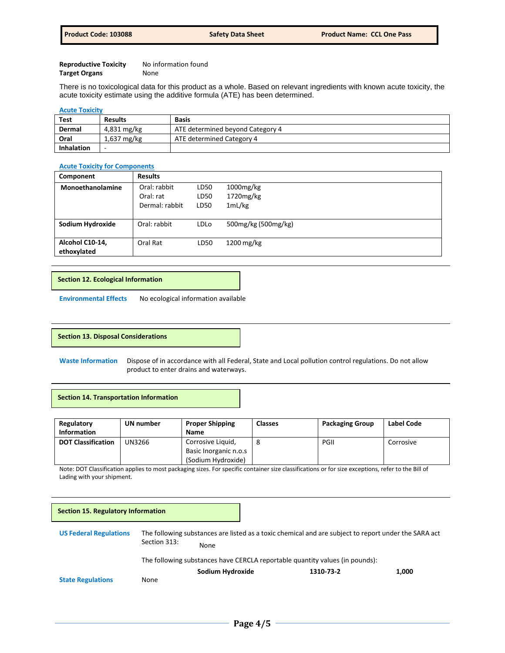| <b>Reproductive Toxicity</b> | No information found |
|------------------------------|----------------------|
| <b>Target Organs</b>         | None                 |

There is no toxicological data for this product as a whole. Based on relevant ingredients with known acute toxicity, the acute toxicity estimate using the additive formula (ATE) has been determined.

#### **Acute Toxicity**

| <b>Test</b>       | <b>Results</b> | <b>Basis</b>                     |
|-------------------|----------------|----------------------------------|
| Dermal            | 4,831 mg/kg    | ATE determined beyond Category 4 |
| Oral              | $1,637$ mg/kg  | ATE determined Category 4        |
| <b>Inhalation</b> | -              |                                  |

## **Acute Toxicity for Components**

| Component        | <b>Results</b> |             |                     |
|------------------|----------------|-------------|---------------------|
| Monoethanolamine | Oral: rabbit   | LD50        | $1000$ mg/kg        |
|                  | Oral: rat      | LD50        | 1720mg/kg           |
|                  | Dermal: rabbit | LD50        | 1mL/kg              |
|                  |                |             |                     |
| Sodium Hydroxide | Oral: rabbit   | <b>LDLo</b> | 500mg/kg (500mg/kg) |
|                  |                |             |                     |
| Alcohol C10-14,  | Oral Rat       | LD50        | $1200$ mg/kg        |
| ethoxylated      |                |             |                     |

## **Section 12. Ecological Information**

**Environmental Effects** No ecological information available

#### **Section 13. Disposal Considerations**

**Waste Information** Dispose of in accordance with all Federal, State and Local pollution control regulations. Do not allow product to enter drains and waterways.

## **Section 14. Transportation Information**

| Regulatory<br><b>Information</b> | UN number | <b>Proper Shipping</b><br><b>Name</b> | <b>Classes</b> | <b>Packaging Group</b> | Label Code |
|----------------------------------|-----------|---------------------------------------|----------------|------------------------|------------|
| <b>DOT Classification</b>        | UN3266    | Corrosive Liquid,                     |                | PGII                   | Corrosive  |
|                                  |           | Basic Inorganic n.o.s                 |                |                        |            |
|                                  |           | (Sodium Hydroxide)                    |                |                        |            |

Note: DOT Classification applies to most packaging sizes. For specific container size classifications or for size exceptions, refer to the Bill of Lading with your shipment.

| <b>Section 15. Regulatory Information</b> |                                                                                                                              |  |           |       |
|-------------------------------------------|------------------------------------------------------------------------------------------------------------------------------|--|-----------|-------|
| <b>US Federal Regulations</b>             | The following substances are listed as a toxic chemical and are subject to report under the SARA act<br>Section 313:<br>None |  |           |       |
|                                           | The following substances have CERCLA reportable quantity values (in pounds):                                                 |  |           |       |
| <b>State Regulations</b>                  | Sodium Hydroxide<br>None                                                                                                     |  | 1310-73-2 | 1,000 |